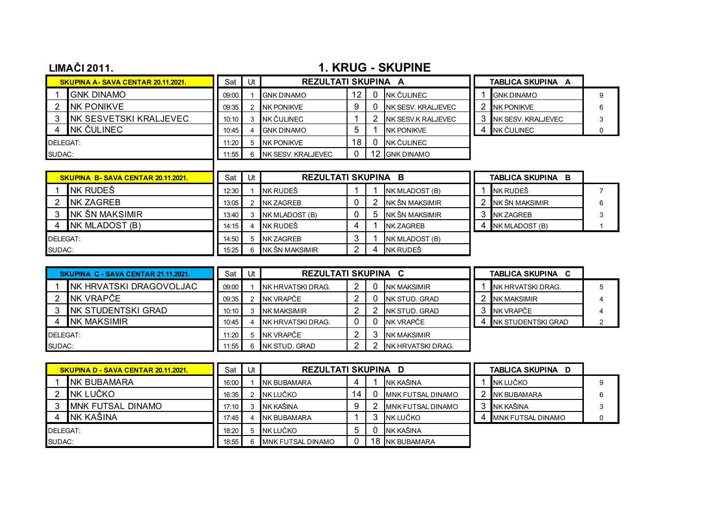## **LIMAČI 2011.** 1. KRUG - SKUPINE

|          | <b>SKUPINA A-SAVA CENTAR 20.11.2021.</b> | Sat   | Ut | <b>REZULTATI SKUPINA A</b> |    |                           | TABLICA SKUPINA A   |  |
|----------|------------------------------------------|-------|----|----------------------------|----|---------------------------|---------------------|--|
|          | <b>GNK DINAMO</b>                        | 09:00 |    | <b>GNK DINAMO</b>          | 12 | INK ČULINEC               | <b>GNK DINAMO</b>   |  |
|          | <b>NK PONIKVE</b>                        | 09:35 |    | <b>NK PONIKVE</b>          |    | <b>NK SESV, KRALJEVEC</b> | <b>NK PONIKVE</b>   |  |
|          | INK SESVETSKI KRALJEVEC                  | 10:10 |    | NK ČULINEC                 |    | <b>NK SESV K RALJEVEC</b> | INK SESV. KRALJEVEC |  |
|          | INK ČULINEC                              | 10:45 |    | <b>GNK DINAMO</b>          |    | <b>NK PONIKVE</b>         | NK ČULINEC          |  |
| DELEGAT: |                                          | 11:20 |    | <b>NK PONIKVE</b>          | 18 | INK ČULINEC               |                     |  |
| SUDAC:   |                                          | 1.55  |    | <b>NK SESV. KRALJEVEC</b>  |    | <b>GNK DINAMO</b>         |                     |  |

|          | SKUPINA B-SAVA CENTAR 20.11.2021. | Sat   | Jt | <b>REZULTATI SKUPINA B</b> |   |                  | TABLICA SKUPINA<br>B |                  |  |
|----------|-----------------------------------|-------|----|----------------------------|---|------------------|----------------------|------------------|--|
|          | INK RUDEŠ                         | 12:30 |    | NK RUDEŠ                   |   | NK MLADOST (B)   |                      | NK RUDEŠ         |  |
|          | <b>INK ZAGREB</b>                 | 13:05 |    | <b>NK ZAGREB</b>           |   | INK ŠN MAKSIMIR  |                      | INK ŠN MAKSIMIR  |  |
|          | INK ŠN MAKSIMIR                   | 13:40 |    | NK MLADOST (B)             | h | NK ŠN MAKSIMIR   |                      | <b>NK ZAGREB</b> |  |
|          | NK MLADOST (B)                    | 14:15 |    | INK RUDEŠ                  |   | <b>NK ZAGREB</b> |                      | NK MLADOST (B)   |  |
| DELEGAT: |                                   | 14:50 |    | <b>NK ZAGREB</b>           |   | NK MLADOST (B)   |                      |                  |  |
| SUDAC:   |                                   | 15:25 |    | INK ŠN MAKSIMIR            |   | NK RUDEŠ         |                      |                  |  |

| SKUPINA C - SAVA CENTAR 21.11.2021. |                          | Sat   | Ut | REZULTATI SKUPINA C |  |  |                    | <b>TABLICA SKUPINA</b><br>C |                     |  |
|-------------------------------------|--------------------------|-------|----|---------------------|--|--|--------------------|-----------------------------|---------------------|--|
|                                     | INK HRVATSKI DRAGOVOLJAC | 09:00 |    | INK HRVATSKI DRAG.  |  |  | <b>NK MAKSIMIR</b> |                             | NK HRVATSKI DRAG.   |  |
|                                     | INK VRAPČE               | 09:35 |    | NK VRAPČE           |  |  | INK STUD, GRAD     |                             | <b>NK MAKSIMIR</b>  |  |
|                                     | INK STUDENTSKI GRAD      | 10:10 |    | <b>NK MAKSIMIR</b>  |  |  | INK STUD, GRAD     |                             | NK VRAPČE           |  |
|                                     | <b>NK MAKSIMIR</b>       | 10:45 |    | NK HRVATSKI DRAG.   |  |  | NK VRAPČE          |                             | INK STUDENTSKI GRAD |  |
| DELEGAT:                            |                          | 11:20 |    | NK VRAPČE           |  |  | <b>NK MAKSIMIR</b> |                             |                     |  |
| SUDAC:                              |                          | 1.55  |    | INK STUD, GRAD      |  |  | INK HRVATSKI DRAG. |                             |                     |  |

|          | <b>SKUPINA D - SAVA CENTAR 20.11.2021.</b> | Sat   | Ut | <b>REZULTATI SKUPINA D</b> |   |    |                          | TABLICA SKUPINA D        |  |
|----------|--------------------------------------------|-------|----|----------------------------|---|----|--------------------------|--------------------------|--|
|          | INK BUBAMARA                               | 16:00 |    | <b>INK BUBAMARA</b>        |   |    | NK KAŠINA                | NK LUČKO                 |  |
|          | INK LUČKO                                  | 16:35 |    | NK LUČKO                   | 4 |    | <b>MNK FUTSAL DINAMO</b> | NK BUBAMARA              |  |
|          | IMNK FUTSAL DINAMO                         | 17:10 |    | NK KAŠINA                  |   |    | <b>MNK FUTSAL DINAMO</b> | NK KAŠINA                |  |
|          | NK KAŠINA                                  | 17:45 | 4  | NK BUBAMARA                |   |    | NK LUČKO                 | <b>MNK FUTSAL DINAMO</b> |  |
| DELEGAT: |                                            | 18:20 |    | 5 INK LUČKO                |   |    | NK KAŠINA                |                          |  |
| SUDAC:   |                                            | 18.55 | 6  | <b>IMNK FUTSAL DINAMO</b>  |   | 18 | NK BUBAMARA              |                          |  |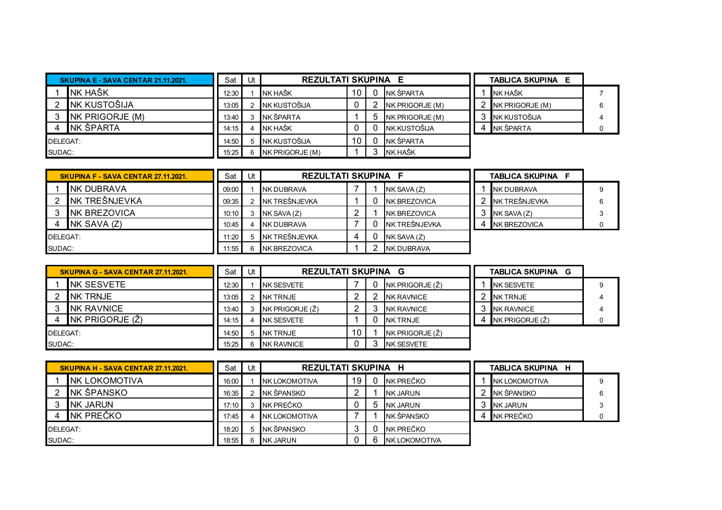|          | SKUPINA E - SAVA CENTAR 21.11.2021. | Sat Ut |    | <b>REZULTATI SKUPINA</b> |  | E               | <b>TABLICA SKUPINA E</b> |  |
|----------|-------------------------------------|--------|----|--------------------------|--|-----------------|--------------------------|--|
|          | INK HAŠK                            | 12:30  |    | NK HAŠK                  |  | NK ŠPARTA       | INK HAŠK                 |  |
|          | <b>INK KUSTOŠIJA</b>                | 13:05  |    | NK KUSTOŠIJA             |  | NK PRIGORJE (M) | NK PRIGORJE (M)          |  |
|          | NK PRIGORJE (M)                     | 13:40  |    | INK ŠPARTA               |  | NK PRIGORJE (M) | NK KUSTOŠIJA             |  |
|          | INK ŠPARTA                          | 14:15  |    | NK HAŠK                  |  | NK KUSTOŠIJA    | NK ŠPARTA                |  |
| DELEGAT: |                                     | 14:50  |    | 5 NK KUSTOŠIJA           |  | NK ŠPARTA       |                          |  |
| SUDAC:   |                                     | 15:25  | 6. | $NK$ PRIGORJE $(M)$      |  | <b>NK HAŠK</b>  |                          |  |

|          | <b>SKUPINA F - SAVA CENTAR 27.11.2021.</b> | Sat   | Ut | <b>REZULTATI SKUPINA F</b> |  |                      | <b>TABLICA SKUPINA F</b> |   |
|----------|--------------------------------------------|-------|----|----------------------------|--|----------------------|--------------------------|---|
|          | INK DUBRAVA                                | 09:00 |    | INK DUBRAVA                |  | NK SAVA (Z)          | INK DUBRAVA              |   |
|          | <b>INK TREŠNJEVKA</b>                      | 09:35 |    | NK TREŠNJEVKA              |  | <b>INK BREZOVICA</b> | NK TREŠNJEVKA            | 6 |
|          | <b>INK BREZOVICA</b>                       | 10:10 |    | $NK$ SAVA $(Z)$            |  | <b>INK BREZOVICA</b> | $NK$ SAVA $(Z)$          |   |
|          | NK SAVA (Z)                                | 10:45 |    | INK DUBRAVA                |  | NK TREŠNJEVKA        | <b>INK BREZOVICA</b>     |   |
| DELEGAT: |                                            | 11:20 |    | NK TREŠNJEVKA              |  | NK SAVA (Z)          |                          |   |
| SUDAC:   |                                            | 11:55 |    | <b>INK BREZOVICA</b>       |  | <b>NK DUBRAVA</b>    |                          |   |

|          | SKUPINA G - SAVA CENTAR 27.11.2021. | Sat   | Ut | <b>REZULTATI SKUPINA G</b> |    |  |                   | <b>TABLICA SKUPINA</b><br>G |                        |  |
|----------|-------------------------------------|-------|----|----------------------------|----|--|-------------------|-----------------------------|------------------------|--|
|          | INK SESVETE                         | 12:30 |    | INK SESVETE                |    |  | NK PRIGORJE (Ž)   |                             | <b>NK SESVETE</b>      |  |
|          | <b>INK TRNJE</b>                    | 13:05 |    | NK TRNJE                   |    |  | <b>NK RAVNICE</b> |                             | NK TRNJE               |  |
|          | NK RAVNICE                          | 13:40 |    | <b>NK PRIGORJE (Ž)</b>     |    |  | <b>NK RAVNICE</b> |                             | <b>NK RAVNICE</b>      |  |
|          | NK PRIGORJE (Ž)                     | 14:15 |    | INK SESVETE                |    |  | <b>NK TRNJE</b>   |                             | INK PRIGORJE $(\zeta)$ |  |
| DELEGAT: |                                     | 14:50 |    | 5 INK TRNJE                | 10 |  | NK PRIGORJE (Ž)   |                             |                        |  |
| SUDAC:   |                                     | 15:25 |    | <b>NK RAVNICE</b>          |    |  | <b>NK SESVETE</b> |                             |                        |  |

|                 | SKUPINA H - SAVA CENTAR 27.11.2021. | Sat I | Ut | REZULTATI SKUPINA     |    | н                     | <b>TABLICA SKUPINA H</b> |  |
|-----------------|-------------------------------------|-------|----|-----------------------|----|-----------------------|--------------------------|--|
|                 | <b>INK LOKOMOTIVA</b>               | 16:00 |    | INK LOKOMOTIVA        | 19 | NK PREČKO             | <b>NK LOKOMOTIVA</b>     |  |
|                 | INK ŠPANSKO                         | 16:35 |    | NK ŠPANSKO            |    | <b>NK JARUN</b>       | NK ŠPANSKO               |  |
|                 | INK JARUN                           | 17:10 |    | INK PREČKO            | υ  | <b>NK JARUN</b>       | NK JARUN                 |  |
|                 | INK PREČKO                          | 17:45 |    | <b>INK LOKOMOTIVA</b> |    | NK ŠPANSKO            | NK PREČKO                |  |
| <b>DELEGAT:</b> |                                     | 18:20 |    | NK ŠPANSKO            |    | NK PREČKO             |                          |  |
| SUDAC:          |                                     | 18:55 |    | <b>NK JARUN</b>       |    | <b>INK LOKOMOTIVA</b> |                          |  |